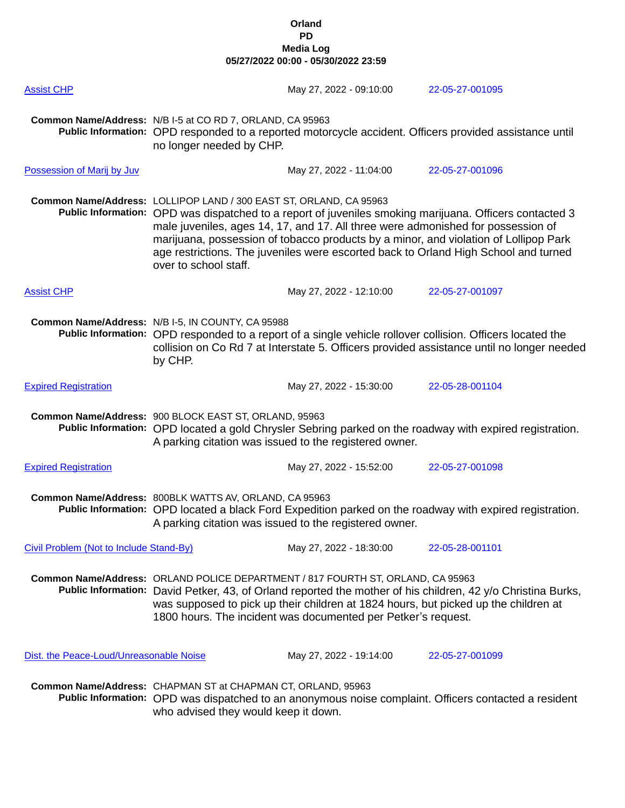| <b>Assist CHP</b>                       |                                                                                                                                                                                                                                                                                                                                                                                                                                                                           | May 27, 2022 - 09:10:00 | 22-05-27-001095                                                                                         |
|-----------------------------------------|---------------------------------------------------------------------------------------------------------------------------------------------------------------------------------------------------------------------------------------------------------------------------------------------------------------------------------------------------------------------------------------------------------------------------------------------------------------------------|-------------------------|---------------------------------------------------------------------------------------------------------|
|                                         | Common Name/Address: N/B I-5 at CO RD 7, ORLAND, CA 95963<br>no longer needed by CHP.                                                                                                                                                                                                                                                                                                                                                                                     |                         | Public Information: OPD responded to a reported motorcycle accident. Officers provided assistance until |
| Possession of Marij by Juv              |                                                                                                                                                                                                                                                                                                                                                                                                                                                                           | May 27, 2022 - 11:04:00 | 22-05-27-001096                                                                                         |
|                                         | Common Name/Address: LOLLIPOP LAND / 300 EAST ST, ORLAND, CA 95963<br>Public Information: OPD was dispatched to a report of juveniles smoking marijuana. Officers contacted 3<br>male juveniles, ages 14, 17, and 17. All three were admonished for possession of<br>marijuana, possession of tobacco products by a minor, and violation of Lollipop Park<br>age restrictions. The juveniles were escorted back to Orland High School and turned<br>over to school staff. |                         |                                                                                                         |
| <b>Assist CHP</b>                       |                                                                                                                                                                                                                                                                                                                                                                                                                                                                           | May 27, 2022 - 12:10:00 | 22-05-27-001097                                                                                         |
|                                         | Common Name/Address: N/B I-5, IN COUNTY, CA 95988<br>Public Information: OPD responded to a report of a single vehicle rollover collision. Officers located the<br>collision on Co Rd 7 at Interstate 5. Officers provided assistance until no longer needed<br>by CHP.                                                                                                                                                                                                   |                         |                                                                                                         |
| <b>Expired Registration</b>             |                                                                                                                                                                                                                                                                                                                                                                                                                                                                           | May 27, 2022 - 15:30:00 | 22-05-28-001104                                                                                         |
|                                         | Common Name/Address: 900 BLOCK EAST ST, ORLAND, 95963<br>Public Information: OPD located a gold Chrysler Sebring parked on the roadway with expired registration.<br>A parking citation was issued to the registered owner.                                                                                                                                                                                                                                               |                         |                                                                                                         |
| <b>Expired Registration</b>             |                                                                                                                                                                                                                                                                                                                                                                                                                                                                           | May 27, 2022 - 15:52:00 | 22-05-27-001098                                                                                         |
|                                         | Common Name/Address: 800BLK WATTS AV, ORLAND, CA 95963<br>Public Information: OPD located a black Ford Expedition parked on the roadway with expired registration.<br>A parking citation was issued to the registered owner.                                                                                                                                                                                                                                              |                         |                                                                                                         |
| Civil Problem (Not to Include Stand-By) |                                                                                                                                                                                                                                                                                                                                                                                                                                                                           | May 27, 2022 - 18:30:00 | 22-05-28-001101                                                                                         |
|                                         | Common Name/Address: ORLAND POLICE DEPARTMENT / 817 FOURTH ST, ORLAND, CA 95963<br>Public Information: David Petker, 43, of Orland reported the mother of his children, 42 y/o Christina Burks,<br>was supposed to pick up their children at 1824 hours, but picked up the children at<br>1800 hours. The incident was documented per Petker's request.                                                                                                                   |                         |                                                                                                         |
| Dist. the Peace-Loud/Unreasonable Noise |                                                                                                                                                                                                                                                                                                                                                                                                                                                                           | May 27, 2022 - 19:14:00 | 22-05-27-001099                                                                                         |
|                                         | Common Name/Address: CHAPMAN ST at CHAPMAN CT, ORLAND, 95963<br>who advised they would keep it down.                                                                                                                                                                                                                                                                                                                                                                      |                         | Public Information: OPD was dispatched to an anonymous noise complaint. Officers contacted a resident   |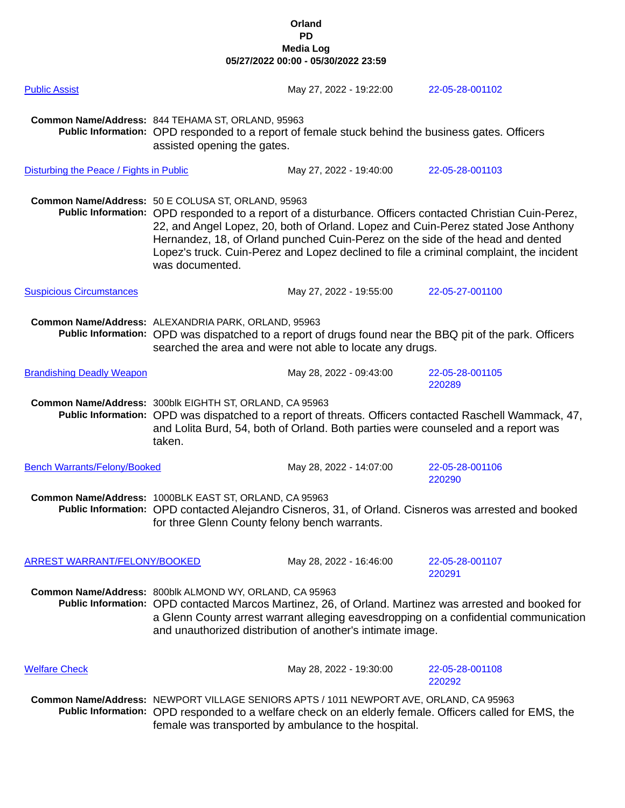| <b>Public Assist</b>                    |                                                                                                                                                                                                                                                                                                                         | May 27, 2022 - 19:22:00                                                                                                                        | 22-05-28-001102                                                                                                                                                                                                                                                                          |
|-----------------------------------------|-------------------------------------------------------------------------------------------------------------------------------------------------------------------------------------------------------------------------------------------------------------------------------------------------------------------------|------------------------------------------------------------------------------------------------------------------------------------------------|------------------------------------------------------------------------------------------------------------------------------------------------------------------------------------------------------------------------------------------------------------------------------------------|
|                                         | Common Name/Address: 844 TEHAMA ST, ORLAND, 95963<br>Public Information: OPD responded to a report of female stuck behind the business gates. Officers<br>assisted opening the gates.                                                                                                                                   |                                                                                                                                                |                                                                                                                                                                                                                                                                                          |
| Disturbing the Peace / Fights in Public |                                                                                                                                                                                                                                                                                                                         | May 27, 2022 - 19:40:00                                                                                                                        | 22-05-28-001103                                                                                                                                                                                                                                                                          |
|                                         | Common Name/Address: 50 E COLUSA ST, ORLAND, 95963<br>was documented.                                                                                                                                                                                                                                                   | Hernandez, 18, of Orland punched Cuin-Perez on the side of the head and dented                                                                 | Public Information: OPD responded to a report of a disturbance. Officers contacted Christian Cuin-Perez,<br>22, and Angel Lopez, 20, both of Orland. Lopez and Cuin-Perez stated Jose Anthony<br>Lopez's truck. Cuin-Perez and Lopez declined to file a criminal complaint, the incident |
| <b>Suspicious Circumstances</b>         |                                                                                                                                                                                                                                                                                                                         | May 27, 2022 - 19:55:00                                                                                                                        | 22-05-27-001100                                                                                                                                                                                                                                                                          |
|                                         | Common Name/Address: ALEXANDRIA PARK, ORLAND, 95963<br>Public Information: OPD was dispatched to a report of drugs found near the BBQ pit of the park. Officers<br>searched the area and were not able to locate any drugs.                                                                                             |                                                                                                                                                |                                                                                                                                                                                                                                                                                          |
| <b>Brandishing Deadly Weapon</b>        |                                                                                                                                                                                                                                                                                                                         | May 28, 2022 - 09:43:00                                                                                                                        | 22-05-28-001105<br>220289                                                                                                                                                                                                                                                                |
|                                         | Common Name/Address: 300blk EIGHTH ST, ORLAND, CA 95963<br>taken.                                                                                                                                                                                                                                                       | and Lolita Burd, 54, both of Orland. Both parties were counseled and a report was                                                              | Public Information: OPD was dispatched to a report of threats. Officers contacted Raschell Wammack, 47,                                                                                                                                                                                  |
| <b>Bench Warrants/Felony/Booked</b>     |                                                                                                                                                                                                                                                                                                                         | May 28, 2022 - 14:07:00                                                                                                                        | 22-05-28-001106<br>220290                                                                                                                                                                                                                                                                |
|                                         | Common Name/Address: 1000BLK EAST ST, ORLAND, CA 95963<br>for three Glenn County felony bench warrants.                                                                                                                                                                                                                 |                                                                                                                                                | Public Information: OPD contacted Alejandro Cisneros, 31, of Orland. Cisneros was arrested and booked                                                                                                                                                                                    |
| ARREST WARRANT/FELONY/BOOKED            |                                                                                                                                                                                                                                                                                                                         | May 28, 2022 - 16:46:00                                                                                                                        | 22-05-28-001107<br>220291                                                                                                                                                                                                                                                                |
|                                         | Common Name/Address: 800blk ALMOND WY, ORLAND, CA 95963<br>Public Information: OPD contacted Marcos Martinez, 26, of Orland. Martinez was arrested and booked for<br>a Glenn County arrest warrant alleging eavesdropping on a confidential communication<br>and unauthorized distribution of another's intimate image. |                                                                                                                                                |                                                                                                                                                                                                                                                                                          |
| <b>Welfare Check</b>                    |                                                                                                                                                                                                                                                                                                                         | May 28, 2022 - 19:30:00                                                                                                                        | 22-05-28-001108<br>220292                                                                                                                                                                                                                                                                |
|                                         |                                                                                                                                                                                                                                                                                                                         | Common Name/Address: NEWPORT VILLAGE SENIORS APTS / 1011 NEWPORT AVE, ORLAND, CA 95963<br>female was transported by ambulance to the hospital. | Public Information: OPD responded to a welfare check on an elderly female. Officers called for EMS, the                                                                                                                                                                                  |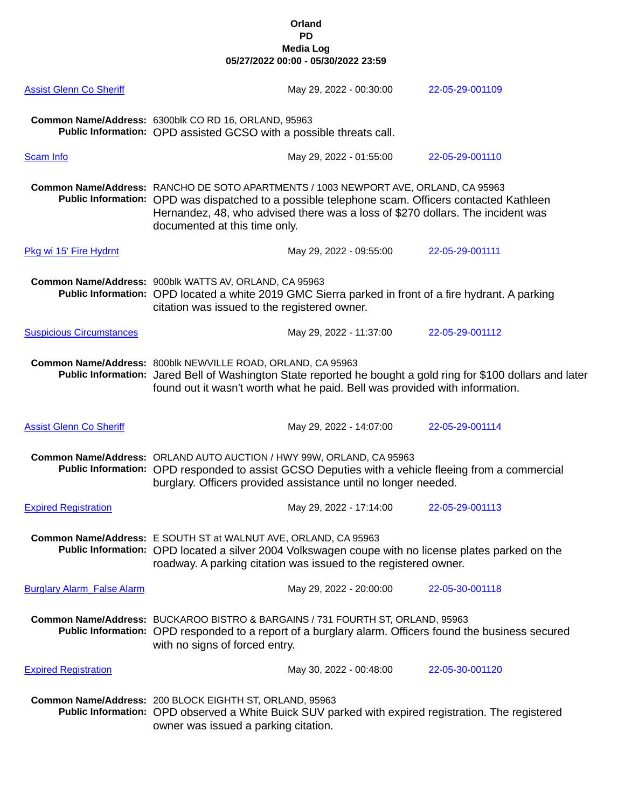| <b>Assist Glenn Co Sheriff</b>    |                                                                                                                                                                                                                                              | May 29, 2022 - 00:30:00                                                                                                                                                                                                                                                   | 22-05-29-001109                                                                                               |
|-----------------------------------|----------------------------------------------------------------------------------------------------------------------------------------------------------------------------------------------------------------------------------------------|---------------------------------------------------------------------------------------------------------------------------------------------------------------------------------------------------------------------------------------------------------------------------|---------------------------------------------------------------------------------------------------------------|
|                                   | Common Name/Address: 6300blk CO RD 16, ORLAND, 95963<br>Public Information: OPD assisted GCSO with a possible threats call.                                                                                                                  |                                                                                                                                                                                                                                                                           |                                                                                                               |
| <b>Scam Info</b>                  |                                                                                                                                                                                                                                              | May 29, 2022 - 01:55:00                                                                                                                                                                                                                                                   | 22-05-29-001110                                                                                               |
|                                   | documented at this time only.                                                                                                                                                                                                                | Common Name/Address: RANCHO DE SOTO APARTMENTS / 1003 NEWPORT AVE, ORLAND, CA 95963<br>Public Information: OPD was dispatched to a possible telephone scam. Officers contacted Kathleen<br>Hernandez, 48, who advised there was a loss of \$270 dollars. The incident was |                                                                                                               |
| Pkg wi 15' Fire Hydrnt            |                                                                                                                                                                                                                                              | May 29, 2022 - 09:55:00                                                                                                                                                                                                                                                   | 22-05-29-001111                                                                                               |
|                                   | Common Name/Address: 900blk WATTS AV, ORLAND, CA 95963<br>citation was issued to the registered owner.                                                                                                                                       | Public Information: OPD located a white 2019 GMC Sierra parked in front of a fire hydrant. A parking                                                                                                                                                                      |                                                                                                               |
| <b>Suspicious Circumstances</b>   |                                                                                                                                                                                                                                              | May 29, 2022 - 11:37:00                                                                                                                                                                                                                                                   | 22-05-29-001112                                                                                               |
|                                   | Common Name/Address: 800blk NEWVILLE ROAD, ORLAND, CA 95963                                                                                                                                                                                  | found out it wasn't worth what he paid. Bell was provided with information.                                                                                                                                                                                               | Public Information: Jared Bell of Washington State reported he bought a gold ring for \$100 dollars and later |
| <b>Assist Glenn Co Sheriff</b>    |                                                                                                                                                                                                                                              | May 29, 2022 - 14:07:00                                                                                                                                                                                                                                                   | 22-05-29-001114                                                                                               |
|                                   | Common Name/Address: ORLAND AUTO AUCTION / HWY 99W, ORLAND, CA 95963<br>Public Information: OPD responded to assist GCSO Deputies with a vehicle fleeing from a commercial<br>burglary. Officers provided assistance until no longer needed. |                                                                                                                                                                                                                                                                           |                                                                                                               |
| <b>Expired Registration</b>       |                                                                                                                                                                                                                                              | May 29, 2022 - 17:14:00                                                                                                                                                                                                                                                   | 22-05-29-001113                                                                                               |
|                                   | Common Name/Address: E SOUTH ST at WALNUT AVE, ORLAND, CA 95963<br>Public Information: OPD located a silver 2004 Volkswagen coupe with no license plates parked on the<br>roadway. A parking citation was issued to the registered owner.    |                                                                                                                                                                                                                                                                           |                                                                                                               |
| <b>Burglary Alarm False Alarm</b> |                                                                                                                                                                                                                                              |                                                                                                                                                                                                                                                                           |                                                                                                               |
|                                   |                                                                                                                                                                                                                                              | May 29, 2022 - 20:00:00                                                                                                                                                                                                                                                   | 22-05-30-001118                                                                                               |
|                                   | with no signs of forced entry.                                                                                                                                                                                                               | Common Name/Address: BUCKAROO BISTRO & BARGAINS / 731 FOURTH ST, ORLAND, 95963                                                                                                                                                                                            | Public Information: OPD responded to a report of a burglary alarm. Officers found the business secured        |
| <b>Expired Registration</b>       |                                                                                                                                                                                                                                              | May 30, 2022 - 00:48:00                                                                                                                                                                                                                                                   | 22-05-30-001120                                                                                               |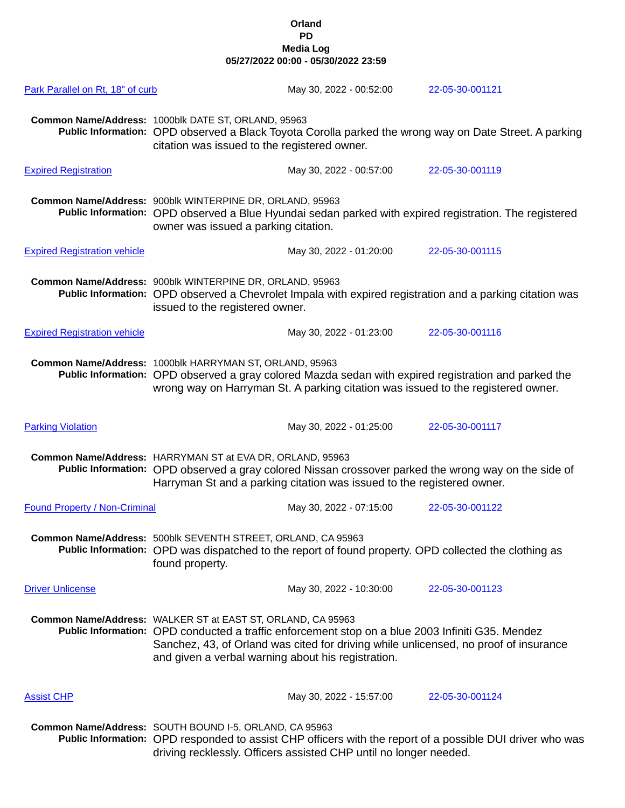| Park Parallel on Rt, 18" of curb     | May 30, 2022 - 00:52:00                                                                                                                                                                                                                                                                                       | 22-05-30-001121 |
|--------------------------------------|---------------------------------------------------------------------------------------------------------------------------------------------------------------------------------------------------------------------------------------------------------------------------------------------------------------|-----------------|
|                                      | Common Name/Address: 1000blk DATE ST, ORLAND, 95963<br>Public Information: OPD observed a Black Toyota Corolla parked the wrong way on Date Street. A parking<br>citation was issued to the registered owner.                                                                                                 |                 |
| <b>Expired Registration</b>          | May 30, 2022 - 00:57:00                                                                                                                                                                                                                                                                                       | 22-05-30-001119 |
|                                      | Common Name/Address: 900blk WINTERPINE DR, ORLAND, 95963<br>Public Information: OPD observed a Blue Hyundai sedan parked with expired registration. The registered<br>owner was issued a parking citation.                                                                                                    |                 |
| <b>Expired Registration vehicle</b>  | May 30, 2022 - 01:20:00                                                                                                                                                                                                                                                                                       | 22-05-30-001115 |
|                                      | Common Name/Address: 900blk WINTERPINE DR, ORLAND, 95963<br>Public Information: OPD observed a Chevrolet Impala with expired registration and a parking citation was<br>issued to the registered owner.                                                                                                       |                 |
| <b>Expired Registration vehicle</b>  | May 30, 2022 - 01:23:00                                                                                                                                                                                                                                                                                       | 22-05-30-001116 |
|                                      | Common Name/Address: 1000blk HARRYMAN ST, ORLAND, 95963<br>Public Information: OPD observed a gray colored Mazda sedan with expired registration and parked the<br>wrong way on Harryman St. A parking citation was issued to the registered owner.                                                           |                 |
| <b>Parking Violation</b>             | May 30, 2022 - 01:25:00                                                                                                                                                                                                                                                                                       | 22-05-30-001117 |
|                                      | Common Name/Address: HARRYMAN ST at EVA DR, ORLAND, 95963<br>Public Information: OPD observed a gray colored Nissan crossover parked the wrong way on the side of<br>Harryman St and a parking citation was issued to the registered owner.                                                                   |                 |
| <b>Found Property / Non-Criminal</b> | May 30, 2022 - 07:15:00                                                                                                                                                                                                                                                                                       | 22-05-30-001122 |
|                                      | Common Name/Address: 500blk SEVENTH STREET, ORLAND, CA 95963<br>Public Information: OPD was dispatched to the report of found property. OPD collected the clothing as<br>found property.                                                                                                                      |                 |
| <b>Driver Unlicense</b>              | May 30, 2022 - 10:30:00                                                                                                                                                                                                                                                                                       | 22-05-30-001123 |
|                                      | Common Name/Address: WALKER ST at EAST ST, ORLAND, CA 95963<br>Public Information: OPD conducted a traffic enforcement stop on a blue 2003 Infiniti G35. Mendez<br>Sanchez, 43, of Orland was cited for driving while unlicensed, no proof of insurance<br>and given a verbal warning about his registration. |                 |
| <b>Assist CHP</b>                    | May 30, 2022 - 15:57:00                                                                                                                                                                                                                                                                                       | 22-05-30-001124 |
|                                      | Common Name/Address: SOUTH BOUND I-5, ORLAND, CA 95963<br>Public Information: OPD responded to assist CHP officers with the report of a possible DUI driver who was<br>driving recklessly. Officers assisted CHP until no longer needed.                                                                      |                 |